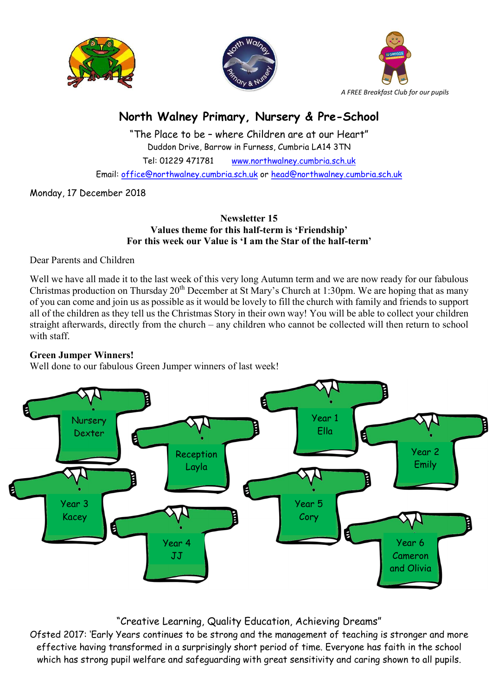





# North Walney Primary, Nursery & Pre-School

"The Place to be – where Children are at our Heart" Duddon Drive, Barrow in Furness, Cumbria LA14 3TN Tel: 01229 471781 www.northwalney.cumbria.sch.uk Email: office@northwalney.cumbria.sch.uk or head@northwalney.cumbria.sch.uk

Monday, 17 December 2018

#### Newsletter 15 Values theme for this half-term is 'Friendship' For this week our Value is 'I am the Star of the half-term'

Dear Parents and Children

Well we have all made it to the last week of this very long Autumn term and we are now ready for our fabulous Christmas production on Thursday 20<sup>th</sup> December at St Mary's Church at 1:30pm. We are hoping that as many of you can come and join us as possible as it would be lovely to fill the church with family and friends to support all of the children as they tell us the Christmas Story in their own way! You will be able to collect your children straight afterwards, directly from the church – any children who cannot be collected will then return to school with staff.

### Green Jumper Winners!

Well done to our fabulous Green Jumper winners of last week!



## "Creative Learning, Quality Education, Achieving Dreams"

Ofsted 2017: 'Early Years continues to be strong and the management of teaching is stronger and more effective having transformed in a surprisingly short period of time. Everyone has faith in the school which has strong pupil welfare and safeguarding with great sensitivity and caring shown to all pupils.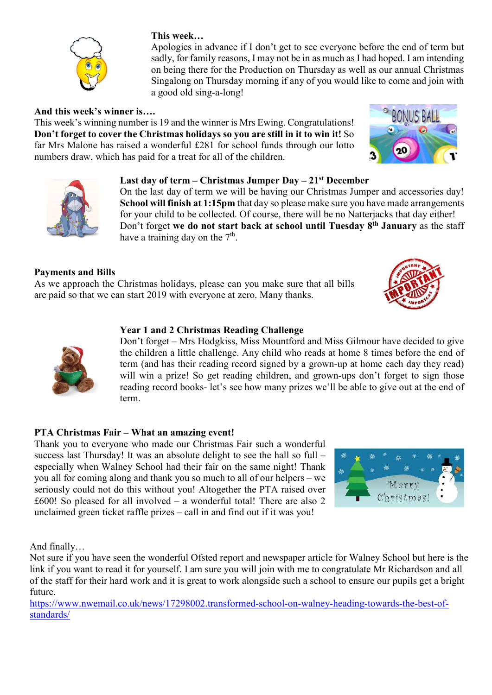

### This week…

Apologies in advance if I don't get to see everyone before the end of term but sadly, for family reasons, I may not be in as much as I had hoped. I am intending on being there for the Production on Thursday as well as our annual Christmas Singalong on Thursday morning if any of you would like to come and join with a good old sing-a-long!

And this week's winner is…. This week's winning number is 19 and the winner is Mrs Ewing. Congratulations! Don't forget to cover the Christmas holidays so you are still in it to win it! So far Mrs Malone has raised a wonderful £281 for school funds through our lotto numbers draw, which has paid for a treat for all of the children.





## Last day of term – Christmas Jumper Day –  $21<sup>st</sup>$  December

On the last day of term we will be having our Christmas Jumper and accessories day! School will finish at 1:15pm that day so please make sure you have made arrangements for your child to be collected. Of course, there will be no Natterjacks that day either! Don't forget we do not start back at school until Tuesday 8<sup>th</sup> January as the staff have a training day on the  $7<sup>th</sup>$ .

### Payments and Bills

As we approach the Christmas holidays, please can you make sure that all bills are paid so that we can start 2019 with everyone at zero. Many thanks.

### Year 1 and 2 Christmas Reading Challenge

Don't forget – Mrs Hodgkiss, Miss Mountford and Miss Gilmour have decided to give the children a little challenge. Any child who reads at home 8 times before the end of term (and has their reading record signed by a grown-up at home each day they read) will win a prize! So get reading children, and grown-ups don't forget to sign those reading record books- let's see how many prizes we'll be able to give out at the end of term.

### PTA Christmas Fair – What an amazing event!

Thank you to everyone who made our Christmas Fair such a wonderful success last Thursday! It was an absolute delight to see the hall so full – especially when Walney School had their fair on the same night! Thank you all for coming along and thank you so much to all of our helpers – we seriously could not do this without you! Altogether the PTA raised over  $£600!$  So pleased for all involved – a wonderful total! There are also 2 unclaimed green ticket raffle prizes – call in and find out if it was you!



And finally…

Not sure if you have seen the wonderful Ofsted report and newspaper article for Walney School but here is the link if you want to read it for yourself. I am sure you will join with me to congratulate Mr Richardson and all of the staff for their hard work and it is great to work alongside such a school to ensure our pupils get a bright future.

https://www.nwemail.co.uk/news/17298002.transformed-school-on-walney-heading-towards-the-best-ofstandards/